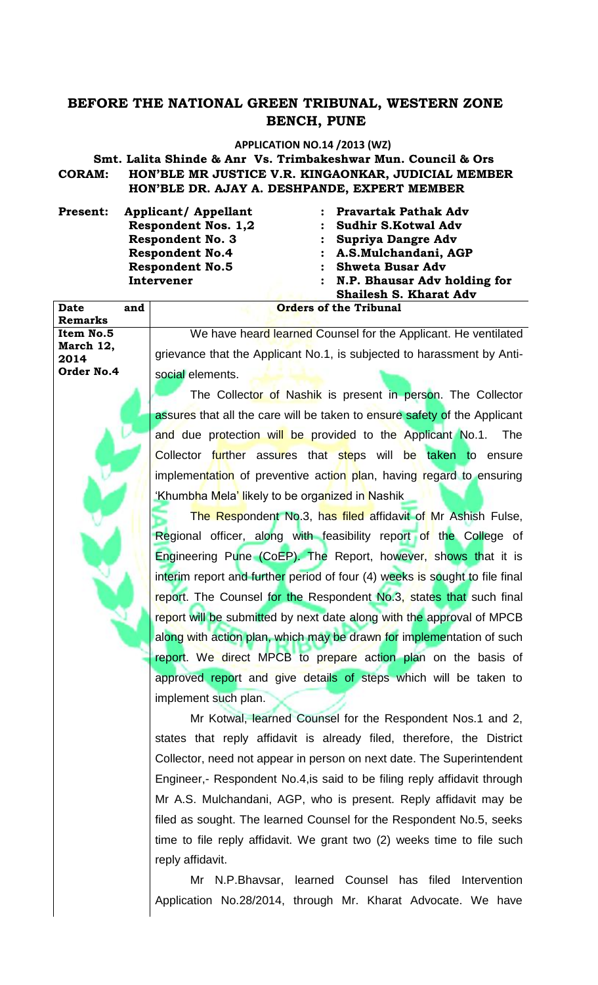## **BEFORE THE NATIONAL GREEN TRIBUNAL, WESTERN ZONE BENCH, PUNE**

## **APPLICATION NO.14 /2013 (WZ)**

**Smt. Lalita Shinde & Anr Vs. Trimbakeshwar Mun. Council & Ors**

**CORAM: HON'BLE MR JUSTICE V.R. KINGAONKAR, JUDICIAL MEMBER HON'BLE DR. AJAY A. DESHPANDE, EXPERT MEMBER**

Present: Applicant/ Appellant : Pravartak Pathak Adv

**Date and** 

**Remarks** 

**Item No.5 March 12, 2014**

**Order No.4**

Respondent Nos. 1,2 : Sudhir S.Kotwal Adv Respondent No. 3 : Supriya Dangre Adv **Respondent No.4 : A.S.Mulchandani, AGP** Respondent No.5 : Shweta Busar Adv **Intervener : N.P. Bhausar Adv holding for Shailesh S. Kharat Adv Orders of the Tribunal**

We have heard learned Counsel for the Applicant. He ventilated grievance that the Applicant No.1, is subjected to harassment by Antisocial elements.

The Collector of Nashik is present in person. The Collector assures that all the care will be taken to ensure safety of the Applicant and due protection will be provided to the Applicant No.1. The Collector further assures that steps will be taken to ensure implementation of preventive action plan, having regard to ensuring 'Khumbha Mela' likely to be organized in Nashik

The Respondent No.3, has filed affidavit of Mr Ashish Fulse, Regional officer, along with feasibility report of the College of Engineering Pune (CoEP). The Report, however, shows that it is interim report and further period of four (4) weeks is sought to file final report. The Counsel for the Respondent No.3, states that such final report will be submitted by next date along with the approval of MPCB along with action plan, which may be drawn for implementation of such report. We direct MPCB to prepare action plan on the basis of approved report and give details of steps which will be taken to implement such plan.

Mr Kotwal, learned Counsel for the Respondent Nos.1 and 2, states that reply affidavit is already filed, therefore, the District Collector, need not appear in person on next date. The Superintendent Engineer,- Respondent No.4,is said to be filing reply affidavit through Mr A.S. Mulchandani, AGP, who is present. Reply affidavit may be filed as sought. The learned Counsel for the Respondent No.5, seeks time to file reply affidavit. We grant two (2) weeks time to file such reply affidavit.

Mr N.P.Bhavsar, learned Counsel has filed Intervention Application No.28/2014, through Mr. Kharat Advocate. We have